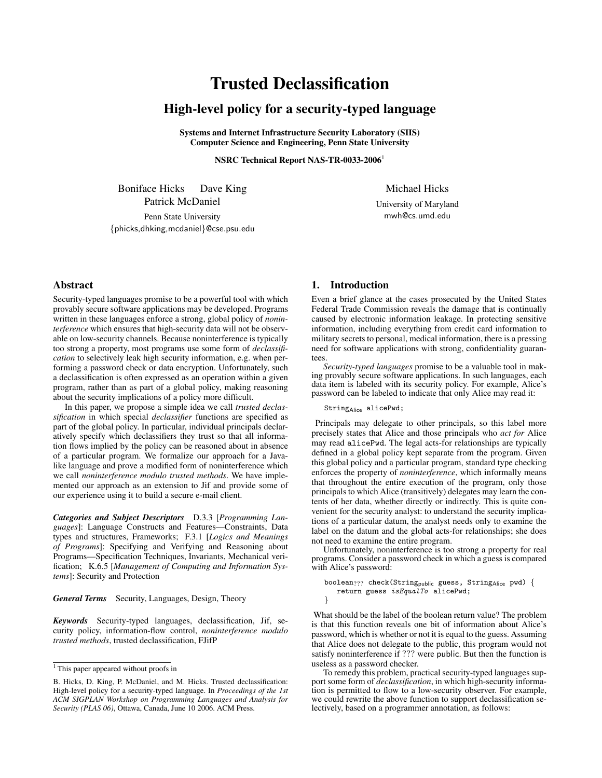# Trusted Declassification

# High-level policy for a security-typed language

Systems and Internet Infrastructure Security Laboratory (SIIS) Computer Science and Engineering, Penn State University

NSRC Technical Report NAS-TR-0033-2006<sup>1</sup>

Boniface Hicks Dave King Patrick McDaniel

Penn State University {phicks,dhking,mcdaniel}@cse.psu.edu

Abstract

Security-typed languages promise to be a powerful tool with which provably secure software applications may be developed. Programs written in these languages enforce a strong, global policy of *noninterference* which ensures that high-security data will not be observable on low-security channels. Because noninterference is typically too strong a property, most programs use some form of *declassification* to selectively leak high security information, e.g. when performing a password check or data encryption. Unfortunately, such a declassification is often expressed as an operation within a given program, rather than as part of a global policy, making reasoning about the security implications of a policy more difficult.

In this paper, we propose a simple idea we call *trusted declassification* in which special *declassifier* functions are specified as part of the global policy. In particular, individual principals declaratively specify which declassifiers they trust so that all information flows implied by the policy can be reasoned about in absence of a particular program. We formalize our approach for a Javalike language and prove a modified form of noninterference which we call *noninterference modulo trusted methods*. We have implemented our approach as an extension to Jif and provide some of our experience using it to build a secure e-mail client.

*Categories and Subject Descriptors* D.3.3 [*Programming Languages*]: Language Constructs and Features—Constraints, Data types and structures, Frameworks; F.3.1 [*Logics and Meanings of Programs*]: Specifying and Verifying and Reasoning about Programs—Specification Techniques, Invariants, Mechanical verification; K.6.5 [*Management of Computing and Information Systems*]: Security and Protection

*General Terms* Security, Languages, Design, Theory

*Keywords* Security-typed languages, declassification, Jif, security policy, information-flow control, *noninterference modulo trusted methods*, trusted declassification, FJifP

Michael Hicks

University of Maryland mwh@cs.umd.edu

# 1. Introduction

Even a brief glance at the cases prosecuted by the United States Federal Trade Commission reveals the damage that is continually caused by electronic information leakage. In protecting sensitive information, including everything from credit card information to military secrets to personal, medical information, there is a pressing need for software applications with strong, confidentiality guarantees.

*Security-typed languages* promise to be a valuable tool in making provably secure software applications. In such languages, each data item is labeled with its security policy. For example, Alice's password can be labeled to indicate that only Alice may read it:

StringAlice alicePwd;

Principals may delegate to other principals, so this label more precisely states that Alice and those principals who *act for* Alice may read alicePwd. The legal acts-for relationships are typically defined in a global policy kept separate from the program. Given this global policy and a particular program, standard type checking enforces the property of *noninterference*, which informally means that throughout the entire execution of the program, only those principals to which Alice (transitively) delegates may learn the contents of her data, whether directly or indirectly. This is quite convenient for the security analyst: to understand the security implications of a particular datum, the analyst needs only to examine the label on the datum and the global acts-for relationships; she does not need to examine the entire program.

Unfortunately, noninterference is too strong a property for real programs. Consider a password check in which a guess is compared with Alice's password:

```
boolean<sub>???</sub> check(String<sub>public</sub> guess, String<sub>Alice</sub> pwd) {
    return guess isEqua1To alicePwd;
}
```
What should be the label of the boolean return value? The problem is that this function reveals one bit of information about Alice's password, which is whether or not it is equal to the guess. Assuming that Alice does not delegate to the public, this program would not satisfy noninterference if ??? were public. But then the function is useless as a password checker.

To remedy this problem, practical security-typed languages support some form of *declassification*, in which high-security information is permitted to flow to a low-security observer. For example, we could rewrite the above function to support declassification selectively, based on a programmer annotation, as follows:

 $\overline{1}$ This paper appeared without proofs in

B. Hicks, D. King, P. McDaniel, and M. Hicks. Trusted declassification: High-level policy for a security-typed language. In *Proceedings of the 1st ACM SIGPLAN Workshop on Programming Languages and Analysis for Security (PLAS 06)*, Ottawa, Canada, June 10 2006. ACM Press.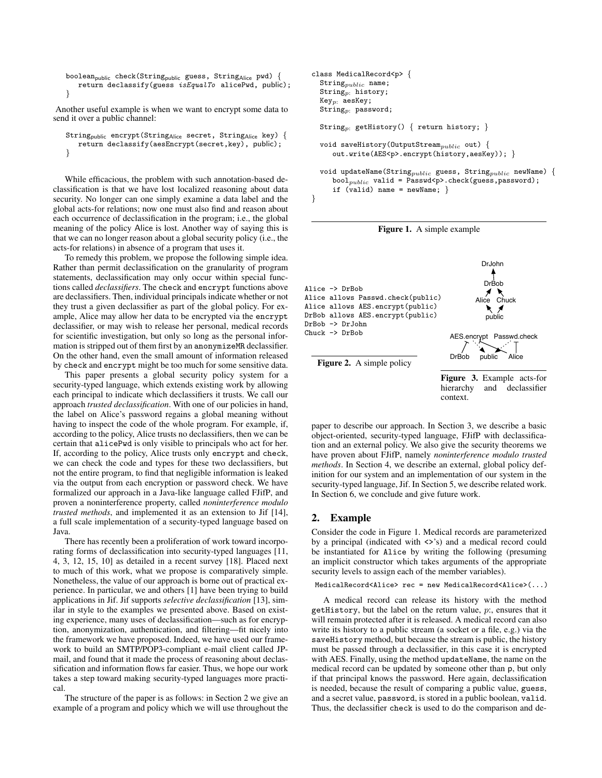```
boolean<sub>public</sub> check(String<sub>public</sub> guess, String<sub>Alice</sub> pwd) {
    return declassify(guess isEqualTo alicePwd, public);
}
```
Another useful example is when we want to encrypt some data to send it over a public channel:

```
Stringpublic encrypt(StringAlice secret, StringAlice key) {
   return declassify(aesEncrypt(secret,key), public);
}
```
While efficacious, the problem with such annotation-based declassification is that we have lost localized reasoning about data security. No longer can one simply examine a data label and the global acts-for relations; now one must also find and reason about each occurrence of declassification in the program; i.e., the global meaning of the policy Alice is lost. Another way of saying this is that we can no longer reason about a global security policy (i.e., the acts-for relations) in absence of a program that uses it.

To remedy this problem, we propose the following simple idea. Rather than permit declassification on the granularity of program statements, declassification may only occur within special functions called *declassifiers*. The check and encrypt functions above are declassifiers. Then, individual principals indicate whether or not they trust a given declassifier as part of the global policy. For example, Alice may allow her data to be encrypted via the encrypt declassifier, or may wish to release her personal, medical records for scientific investigation, but only so long as the personal information is stripped out of them first by an anonymizeMR declassifier. On the other hand, even the small amount of information released by check and encrypt might be too much for some sensitive data.

This paper presents a global security policy system for a security-typed language, which extends existing work by allowing each principal to indicate which declassifiers it trusts. We call our approach *trusted declassification*. With one of our policies in hand, the label on Alice's password regains a global meaning without having to inspect the code of the whole program. For example, if, according to the policy, Alice trusts no declassifiers, then we can be certain that alicePwd is only visible to principals who act for her. If, according to the policy, Alice trusts only encrypt and check, we can check the code and types for these two declassifiers, but not the entire program, to find that negligible information is leaked via the output from each encryption or password check. We have formalized our approach in a Java-like language called FJifP, and proven a noninterference property, called *noninterference modulo trusted methods*, and implemented it as an extension to Jif [14], a full scale implementation of a security-typed language based on Java.

There has recently been a proliferation of work toward incorporating forms of declassification into security-typed languages [11, 4, 3, 12, 15, 10] as detailed in a recent survey [18]. Placed next to much of this work, what we propose is comparatively simple. Nonetheless, the value of our approach is borne out of practical experience. In particular, we and others [1] have been trying to build applications in Jif. Jif supports *selective declassification* [13], similar in style to the examples we presented above. Based on existing experience, many uses of declassification—such as for encryption, anonymization, authentication, and filtering—fit nicely into the framework we have proposed. Indeed, we have used our framework to build an SMTP/POP3-compliant e-mail client called JPmail, and found that it made the process of reasoning about declassification and information flows far easier. Thus, we hope our work takes a step toward making security-typed languages more practical.

The structure of the paper is as follows: in Section 2 we give an example of a program and policy which we will use throughout the

```
class MedicalRecord<p> {
  String_{public} name;
  Stringp: history;
  Key<sub>p</sub>: aesKey;Stringp: password;
  String<sub>p:</sub> getHistory() { return history; }
  void saveHistory(OutputStream_{public} out) {
     out.write(AES<p>.encrypt(history,aesKey)); }
  void updateName(String_{public} guess, String_{public} newName) {
     bool_{public} valid = Passwd<p>.check(guess,password);
     if (valid) name = newName; }
```


Figure 3. Example acts-for hierarchy and declassifier context.

paper to describe our approach. In Section 3, we describe a basic object-oriented, security-typed language, FJifP with declassification and an external policy. We also give the security theorems we have proven about FJifP, namely *noninterference modulo trusted methods*. In Section 4, we describe an external, global policy definition for our system and an implementation of our system in the security-typed language, Jif. In Section 5, we describe related work. In Section 6, we conclude and give future work.

## 2. Example

}

Consider the code in Figure 1. Medical records are parameterized by a principal (indicated with <>'s) and a medical record could be instantiated for Alice by writing the following (presuming an implicit constructor which takes arguments of the appropriate security levels to assign each of the member variables).

MedicalRecord<Alice> rec = new MedicalRecord<Alice>(...)

A medical record can release its history with the method getHistory, but the label on the return value,  $p$ :, ensures that it will remain protected after it is released. A medical record can also write its history to a public stream (a socket or a file, e.g.) via the saveHistory method, but because the stream is public, the history must be passed through a declassifier, in this case it is encrypted with AES. Finally, using the method updateName, the name on the medical record can be updated by someone other than p, but only if that principal knows the password. Here again, declassification is needed, because the result of comparing a public value, guess, and a secret value, password, is stored in a public boolean, valid. Thus, the declassifier check is used to do the comparison and de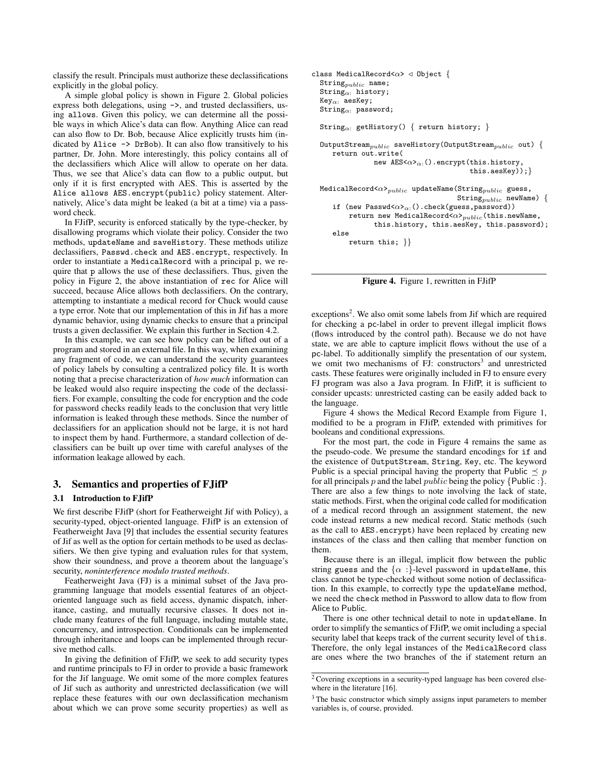classify the result. Principals must authorize these declassifications explicitly in the global policy.

A simple global policy is shown in Figure 2. Global policies express both delegations, using ->, and trusted declassifiers, using allows. Given this policy, we can determine all the possible ways in which Alice's data can flow. Anything Alice can read can also flow to Dr. Bob, because Alice explicitly trusts him (indicated by Alice -> DrBob). It can also flow transitively to his partner, Dr. John. More interestingly, this policy contains all of the declassifiers which Alice will allow to operate on her data. Thus, we see that Alice's data can flow to a public output, but only if it is first encrypted with AES. This is asserted by the Alice allows AES.encrypt(public) policy statement. Alternatively, Alice's data might be leaked (a bit at a time) via a password check.

In FJifP, security is enforced statically by the type-checker, by disallowing programs which violate their policy. Consider the two methods, updateName and saveHistory. These methods utilize declassifiers, Passwd.check and AES.encrypt, respectively. In order to instantiate a MedicalRecord with a principal p, we require that p allows the use of these declassifiers. Thus, given the policy in Figure 2, the above instantiation of rec for Alice will succeed, because Alice allows both declassifiers. On the contrary, attempting to instantiate a medical record for Chuck would cause a type error. Note that our implementation of this in Jif has a more dynamic behavior, using dynamic checks to ensure that a principal trusts a given declassifier. We explain this further in Section 4.2.

In this example, we can see how policy can be lifted out of a program and stored in an external file. In this way, when examining any fragment of code, we can understand the security guarantees of policy labels by consulting a centralized policy file. It is worth noting that a precise characterization of *how much* information can be leaked would also require inspecting the code of the declassifiers. For example, consulting the code for encryption and the code for password checks readily leads to the conclusion that very little information is leaked through these methods. Since the number of declassifiers for an application should not be large, it is not hard to inspect them by hand. Furthermore, a standard collection of declassifiers can be built up over time with careful analyses of the information leakage allowed by each.

### 3. Semantics and properties of FJifP

### 3.1 Introduction to FJifP

We first describe FJifP (short for Featherweight Jif with Policy), a security-typed, object-oriented language. FJifP is an extension of Featherweight Java [9] that includes the essential security features of Jif as well as the option for certain methods to be used as declassifiers. We then give typing and evaluation rules for that system, show their soundness, and prove a theorem about the language's security, *noninterference modulo trusted methods*.

Featherweight Java (FJ) is a minimal subset of the Java programming language that models essential features of an objectoriented language such as field access, dynamic dispatch, inheritance, casting, and mutually recursive classes. It does not include many features of the full language, including mutable state, concurrency, and introspection. Conditionals can be implemented through inheritance and loops can be implemented through recursive method calls.

In giving the definition of FJifP, we seek to add security types and runtime principals to FJ in order to provide a basic framework for the Jif language. We omit some of the more complex features of Jif such as authority and unrestricted declassification (we will replace these features with our own declassification mechanism about which we can prove some security properties) as well as

```
class MedicalRecord\langle \alpha \rangle \triangleleft Object {
  String_{public} name;
  String_{\alpha}: history;
  Key_{\alpha}: aesKey;
  String\alpha: password;
  String<sub>α:</sub> getHistory() { return history; }
  OutputStream_{public} saveHistory(OutputStream_{public} out) {
      return out.write(
                    new \texttt{AES}\{\alpha\}_{\alpha}: ().encrypt(this.history,
                                                    this.aesKey));}
  MedicalRecord\langle \alpha \rangle_{public} updateName(String_{public} guess,
                                               String_{public} newName) {
       if (new Passwd<\alpha >_{\alpha}: ().check(guess, password))
            return new MedicalRecord<br/> \alpha\lambda_{public} (this.new<br/>Name,
                    this.history, this.aesKey, this.password);
       else
            return this; }}
```


exceptions<sup>2</sup>. We also omit some labels from Jif which are required for checking a pc-label in order to prevent illegal implicit flows (flows introduced by the control path). Because we do not have state, we are able to capture implicit flows without the use of a pc-label. To additionally simplify the presentation of our system, we omit two mechanisms of FJ: constructors<sup>3</sup> and unrestricted casts. These features were originally included in FJ to ensure every FJ program was also a Java program. In FJifP, it is sufficient to consider upcasts: unrestricted casting can be easily added back to the language.

Figure 4 shows the Medical Record Example from Figure 1, modified to be a program in FJifP, extended with primitives for booleans and conditional expressions.

For the most part, the code in Figure 4 remains the same as the pseudo-code. We presume the standard encodings for if and the existence of OutputStream, String, Key, etc. The keyword Public is a special principal having the property that Public  $\prec p$ for all principals p and the label public being the policy  $\{Public : \}$ . There are also a few things to note involving the lack of state, static methods. First, when the original code called for modification of a medical record through an assignment statement, the new code instead returns a new medical record. Static methods (such as the call to AES.encrypt) have been replaced by creating new instances of the class and then calling that member function on them.

Because there is an illegal, implicit flow between the public string guess and the  $\{\alpha : \}$ -level password in updateName, this class cannot be type-checked without some notion of declassification. In this example, to correctly type the updateName method, we need the check method in Password to allow data to flow from Alice to Public.

There is one other technical detail to note in updateName. In order to simplify the semantics of FJifP, we omit including a special security label that keeps track of the current security level of this. Therefore, the only legal instances of the MedicalRecord class are ones where the two branches of the if statement return an

<sup>2</sup> Covering exceptions in a security-typed language has been covered elsewhere in the literature [16].

<sup>&</sup>lt;sup>3</sup> The basic constructor which simply assigns input parameters to member variables is, of course, provided.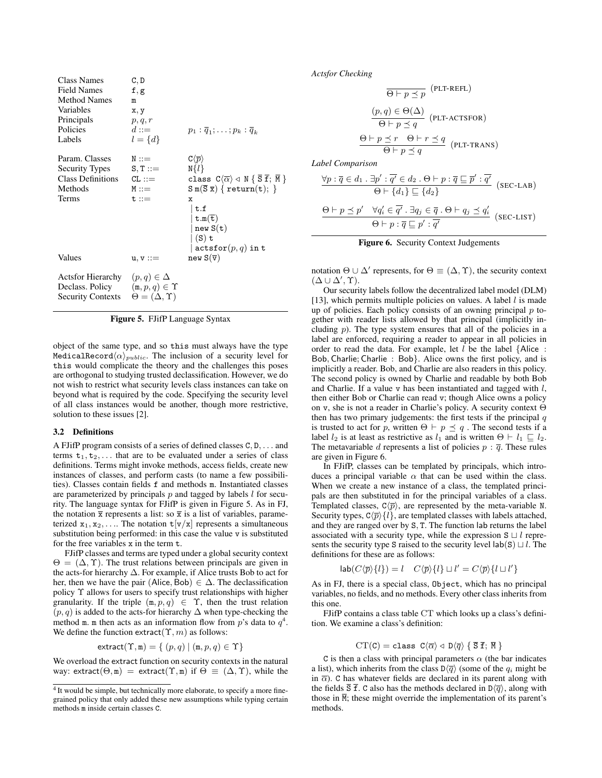| <b>Class Names</b>                       | C, D                          |                                                                                                          |
|------------------------------------------|-------------------------------|----------------------------------------------------------------------------------------------------------|
| <b>Field Names</b>                       | f, g                          |                                                                                                          |
| <b>Method Names</b>                      | m                             |                                                                                                          |
| Variables                                | x, y                          |                                                                                                          |
| Principals                               | p, q, r                       |                                                                                                          |
| Policies                                 | $d ::=$                       | $p_1 : \overline{q}_1; \ldots; p_k : \overline{q}_k$                                                     |
| Labels                                   | $l = \{d\}$                   |                                                                                                          |
| Param. Classes                           | $N ::=$                       | $C\langle \overline{p} \rangle$                                                                          |
| <b>Security Types</b>                    | $S, T ::=$                    | $N\{l\}$                                                                                                 |
| <b>Class Definitions</b>                 | $CL ::=$                      | class $C\langle \overline{\alpha} \rangle \triangleleft N \{ \overline{S} \overline{f}; \overline{M} \}$ |
| Methods                                  | $M ::=$                       | $S_m(\overline{S}\,\overline{x})$ { return(t); }                                                         |
| Terms                                    | $t ::=$                       | $\mathbf x$                                                                                              |
|                                          |                               | t.f                                                                                                      |
|                                          |                               | $t.m(\bar{t})$                                                                                           |
|                                          |                               | $\vert$ new $S(t)$                                                                                       |
|                                          |                               | $(S)$ t                                                                                                  |
|                                          |                               | $\texttt{actsfor}(p,q)$ in t                                                                             |
| Values                                   | $u, v ::=$                    | new $S(\overline{v})$                                                                                    |
| Actsfor Hierarchy $(p, q) \in \Delta$    |                               |                                                                                                          |
| Declass. Policy $(m, p, q) \in \Upsilon$ |                               |                                                                                                          |
| <b>Security Contexts</b>                 | $\Theta = (\Delta, \Upsilon)$ |                                                                                                          |
|                                          |                               |                                                                                                          |

Figure 5. FJifP Language Syntax

object of the same type, and so this must always have the type MedicalRecord $\langle \alpha \rangle_{public}$ . The inclusion of a security level for this would complicate the theory and the challenges this poses are orthogonal to studying trusted declassification. However, we do not wish to restrict what security levels class instances can take on beyond what is required by the code. Specifying the security level of all class instances would be another, though more restrictive, solution to these issues [2].

### 3.2 Definitions

A FJifP program consists of a series of defined classes C, D, . . . and terms  $t_1, t_2, \ldots$  that are to be evaluated under a series of class definitions. Terms might invoke methods, access fields, create new instances of classes, and perform casts (to name a few possibilities). Classes contain fields f and methods m. Instantiated classes are parameterized by principals  $p$  and tagged by labels  $l$  for security. The language syntax for FJifP is given in Figure 5. As in FJ, the notation  $\bar{x}$  represents a list: so  $\bar{x}$  is a list of variables, parameterized  $x_1, x_2, \ldots$  The notation  $t[v/x]$  represents a simultaneous substitution being performed: in this case the value v is substituted for the free variables x in the term t.

FJifP classes and terms are typed under a global security context  $\Theta = (\Delta, \Upsilon)$ . The trust relations between principals are given in the acts-for hierarchy ∆. For example, if Alice trusts Bob to act for her, then we have the pair (Alice, Bob)  $\in \Delta$ . The declassification policy Υ allows for users to specify trust relationships with higher granularity. If the triple  $(m, p, q) \in \Upsilon$ , then the trust relation  $(p, q)$  is added to the acts-for hierarchy  $\Delta$  when type-checking the method m. m then acts as an information flow from p's data to  $q^4$ . We define the function extract( $\Upsilon$ , m) as follows:

$$
\mathsf{extract}(\Upsilon, \mathtt{m}) = \{ (p, q) \mid (\mathtt{m}, p, q) \in \Upsilon \}
$$

We overload the extract function on security contexts in the natural way: extract( $\Theta$ , m) = extract( $\Upsilon$ , m) if  $\Theta \equiv (\Delta, \Upsilon)$ , while the *Actsfor Checking*

$$
\overline{\Theta \vdash p \preceq p} \text{ (PLT-REFL)}
$$
\n
$$
\frac{(p, q) \in \Theta(\Delta)}{\Theta \vdash p \preceq q} \text{ (PLT-ACTSFOR)}
$$
\n
$$
\frac{\Theta \vdash p \preceq r \quad \Theta \vdash r \preceq q}{\Theta \vdash p \preceq q} \text{ (PLT-TRANS)}
$$

*Label Comparison*

$$
\frac{\forall p : \overline{q} \in d_1 \cdot \exists p' : \overline{q'} \in d_2 \cdot \Theta \vdash p : \overline{q} \sqsubseteq \overline{p}' : \overline{q'}}{\Theta \vdash \{d_1\} \sqsubseteq \{d_2\}} \quad (\text{SEC-LAB})
$$
\n
$$
\frac{\Theta \vdash p \preceq p' \quad \forall q_i' \in \overline{q'} \cdot \exists q_j \in \overline{q} \cdot \Theta \vdash q_j \preceq q_i'}{\Theta \vdash p : \overline{q} \sqsubseteq p' : \overline{q'}} \quad (\text{SEC-LIST})
$$

### Figure 6. Security Context Judgements

notation  $\Theta \cup \Delta'$  represents, for  $\Theta \equiv (\Delta, \Upsilon)$ , the security context  $(\Delta \cup \Delta', \Upsilon).$ 

Our security labels follow the decentralized label model (DLM) [13], which permits multiple policies on values. A label  $l$  is made up of policies. Each policy consists of an owning principal  $p$  together with reader lists allowed by that principal (implicitly including  $p$ ). The type system ensures that all of the policies in a label are enforced, requiring a reader to appear in all policies in order to read the data. For example, let  $l$  be the label {Alice : Bob, Charlie; Charlie : Bob}. Alice owns the first policy, and is implicitly a reader. Bob, and Charlie are also readers in this policy. The second policy is owned by Charlie and readable by both Bob and Charlie. If a value  $v$  has been instantiated and tagged with  $l$ , then either Bob or Charlie can read v; though Alice owns a policy on v, she is not a reader in Charlie's policy. A security context Θ then has two primary judgements: the first tests if the principal  $q$ is trusted to act for p, written  $\Theta \vdash p \preceq q$ . The second tests if a label  $l_2$  is at least as restrictive as  $l_1$  and is written  $\Theta \vdash l_1 \sqsubseteq l_2$ . The metavariable d represents a list of policies  $p : \overline{q}$ . These rules are given in Figure 6.

In FJifP, classes can be templated by principals, which introduces a principal variable  $\alpha$  that can be used within the class. When we create a new instance of a class, the templated principals are then substituted in for the principal variables of a class. Templated classes,  $C(\bar{p})$ , are represented by the meta-variable N. Security types,  $C\langle \overline{p} \rangle \{l\}$ , are templated classes with labels attached, and they are ranged over by S, T. The function lab returns the label associated with a security type, while the expression  $S \sqcup l$  represents the security type S raised to the security level  $\text{lab}(S) \sqcup l$ . The definitions for these are as follows:

$$
lab(C\langle \overline{p}\rangle\{l\}) = l \quad C\langle \overline{p}\rangle\{l\} \sqcup l' = C\langle \overline{p}\rangle\{l\sqcup l'\}
$$

As in FJ, there is a special class, Object, which has no principal variables, no fields, and no methods. Every other class inherits from this one.

FJifP contains a class table CT which looks up a class's definition. We examine a class's definition:

$$
\mathrm{CT}(\mathtt{C}) = \mathtt{class} \ \mathtt{C}\langle\overline{\alpha}\rangle \triangleleft \mathtt{D}\langle\overline{q}\rangle \setminus \overline{\mathtt{S}} \ \overline{\mathtt{f}}; \ \overline{\mathtt{M}} \rbrace
$$

C is then a class with principal parameters  $\alpha$  (the bar indicates a list), which inherits from the class  $D\langle \overline{q} \rangle$  (some of the  $q_i$  might be in  $\overline{\alpha}$ ). C has whatever fields are declared in its parent along with the fields  $\overline{S}$  f. C also has the methods declared in  $D\langle \overline{q} \rangle$ , along with those in  $\overline{M}$ ; these might override the implementation of its parent's methods.

<sup>&</sup>lt;sup>4</sup> It would be simple, but technically more elaborate, to specify a more finegrained policy that only added these new assumptions while typing certain methods m inside certain classes C.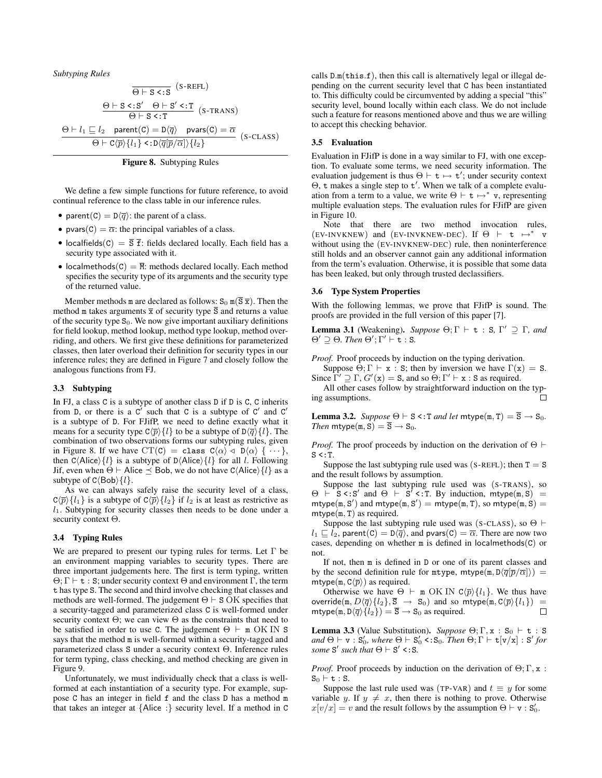*Subtyping Rules*

$$
\overline{\Theta \vdash s \prec : s} \quad (S\text{-}REFL)
$$
\n
$$
\underline{\Theta \vdash s \prec : s' \quad \Theta \vdash s' \prec : T} \quad (S\text{-}TRANS)
$$
\n
$$
\underline{\Theta \vdash l_1 \sqsubseteq l_2} \quad \text{parent}(C) = D\langle \overline{q} \rangle \quad \text{pvars}(C) = \overline{\alpha}
$$
\n
$$
\overline{\Theta \vdash C\langle \overline{p} \rangle \{l_1\} \prec : D\langle \overline{q}[\overline{p} / \overline{\alpha}] \rangle \{l_2\}}
$$
\n
$$
(S\text{-}CLASS)
$$



We define a few simple functions for future reference, to avoid continual reference to the class table in our inference rules.

- parent(C) =  $D\langle \overline{q} \rangle$ : the parent of a class.
- pvars(C) =  $\overline{\alpha}$ : the principal variables of a class.
- localfields(C) =  $\overline{S}$   $\overline{f}$ : fields declared locally. Each field has a security type associated with it.
- localmethods(C) =  $\overline{M}$ : methods declared locally. Each method specifies the security type of its arguments and the security type of the returned value.

Member methods m are declared as follows:  $S_0$  m( $\overline{S}$   $\overline{x}$ ). Then the method m takes arguments  $\bar{x}$  of security type  $\bar{s}$  and returns a value of the security type  $S_0$ . We now give important auxiliary definitions for field lookup, method lookup, method type lookup, method overriding, and others. We first give these definitions for parameterized classes, then later overload their definition for security types in our inference rules; they are defined in Figure 7 and closely follow the analogous functions from FJ.

# 3.3 Subtyping

In FJ, a class C is a subtype of another class D if D is C, C inherits from D, or there is a  $C'$  such that C is a subtype of C' and C' is a subtype of D. For FJifP, we need to define exactly what it means for a security type  $C\langle \overline{p} \rangle \{l\}$  to be a subtype of  $D\langle \overline{q} \rangle \{l\}$ . The combination of two observations forms our subtyping rules, given in Figure 8. If we have  $CT(C) = \text{class } C(\alpha) \triangleleft D(\alpha) \{ \cdots \},\$ then C $\langle$ Alice $\rangle$ {*l*} is a subtype of D $\langle$ Alice $\rangle$ {*l*} for all *l*. Following Jif, even when  $\Theta \vdash$  Alice  $\preceq$  Bob, we do not have C $\langle$ Alice $\rangle$  $\{l\}$  as a subtype of  $C\langle Bob \rangle \{l\}.$ 

As we can always safely raise the security level of a class,  $C\langle \overline{p}\rangle\{l_1\}$  is a subtype of  $C\langle \overline{p}\rangle\{l_2\}$  if  $l_2$  is at least as restrictive as  $l_1$ . Subtyping for security classes then needs to be done under a security context Θ.

#### 3.4 Typing Rules

We are prepared to present our typing rules for terms. Let Γ be an environment mapping variables to security types. There are three important judgements here. The first is term typing, written  $\Theta$ ;  $\Gamma \vdash t : S$ ; under security context  $\Theta$  and environment  $\Gamma$ , the term t has type S. The second and third involve checking that classes and methods are well-formed. The judgement  $\Theta \vdash S$  OK specifies that a security-tagged and parameterized class C is well-formed under security context  $\Theta$ ; we can view  $\Theta$  as the constraints that need to be satisfied in order to use C. The judgement  $\Theta$   $\vdash$  m OK IN S says that the method m is well-formed within a security-tagged and parameterized class S under a security context Θ. Inference rules for term typing, class checking, and method checking are given in Figure 9.

Unfortunately, we must individually check that a class is wellformed at each instantiation of a security type. For example, suppose C has an integer in field f and the class D has a method m that takes an integer at {Alice :} security level. If a method in C calls  $D.m(this.f)$ , then this call is alternatively legal or illegal depending on the current security level that C has been instantiated to. This difficulty could be circumvented by adding a special "this" security level, bound locally within each class. We do not include such a feature for reasons mentioned above and thus we are willing to accept this checking behavior.

### 3.5 Evaluation

Evaluation in FJifP is done in a way similar to FJ, with one exception. To evaluate some terms, we need security information. The evaluation judgement is thus  $\Theta \vdash t \mapsto t'$ ; under security context Θ, t makes a single step to t 0 . When we talk of a complete evaluation from a term to a value, we write  $\Theta \vdash t \mapsto^* v$ , representing multiple evaluation steps. The evaluation rules for FJifP are given in Figure 10.

Note that there are two method invocation rules, (EV-INVKNEW) and (EV-INVKNEW-DEC). If  $\Theta \vdash t \mapsto^* v$ without using the (EV-INVKNEW-DEC) rule, then noninterference still holds and an observer cannot gain any additional information from the term's evaluation. Otherwise, it is possible that some data has been leaked, but only through trusted declassifiers.

#### 3.6 Type System Properties

With the following lemmas, we prove that FJifP is sound. The proofs are provided in the full version of this paper [7].

**Lemma 3.1** (Weakening). *Suppose*  $\Theta$ ;  $\Gamma \vdash t : S, \Gamma' \supseteq \Gamma$ , and  $\Theta' \supseteq \Theta$ *. Then*  $\Theta'; \Gamma' \vdash t : S$ .

*Proof.* Proof proceeds by induction on the typing derivation. Suppose  $\Theta$ ;  $\Gamma \vdash x : S$ ; then by inversion we have  $\Gamma(x) = S$ .

Since  $\overline{\Gamma}' \supseteq \Gamma$ ,  $G'(\mathbf{x}) = \mathbf{S}$ , and so  $\Theta$ ;  $\Gamma' \vdash \mathbf{x} : \mathbf{S}$  as required.

All other cases follow by straightforward induction on the typing assumptions.  $\Box$ 

**Lemma 3.2.** *Suppose*  $\Theta \vdash S \leq T$  *and let* mtype $(m, T) = \overline{S} \rightarrow S_0$ *. Then*  $mtype(m, S) = \overline{S} \rightarrow S_0$ .

*Proof.* The proof proceeds by induction on the derivation of  $\Theta$   $\vdash$  $S \leq T$ .

Suppose the last subtyping rule used was ( $S$ -REFL); then  $T = S$ and the result follows by assumption.

Suppose the last subtyping rule used was (S-TRANS), so  $\Theta$  +  $S$  <:S' and  $\Theta$  +  $S'$  <:T. By induction, mtype $(m, S)$  =  $mtype(m, S')$  and  $mtype(m, S') = mtype(m, T)$ , so  $mtype(m, S) =$ mtype(m, T) as required.

Suppose the last subtyping rule used was (S-CLASS), so  $\Theta$   $\vdash$  $l_1 \sqsubseteq l_2$ , parent(C) = D $\langle \overline{q} \rangle$ , and pvars(C) =  $\overline{\alpha}$ . There are now two cases, depending on whether  $m$  is defined in localmethods(C) or not.

If not, then m is defined in D or one of its parent classes and by the second definition rule for mtype,  $mtype(m, D\langle \overline{q}|\overline{p}/\overline{\alpha}]\rangle) =$  $mtype(m, C\langle \overline{p} \rangle)$  as required.

Otherwise we have  $\Theta \vdash m$  OK IN  $C\langle \overline{p} \rangle \{l_1\}$ . We thus have override $(\texttt{m},D\langle\overline{q}\rangle\{l_2\}, \overline{\texttt{S}} \rightarrow \texttt{S}_0)$  and so  $\textsf{mtype}(\texttt{m},\texttt{C}\langle\overline{p}\rangle\{l_1\})$   $=$  $\text{mtype}(\text{m}, \text{D}\langle \overline{q} \rangle \{l_2\}) = \overline{\text{S}} \rightarrow \text{S}_0$  as required.

**Lemma 3.3** (Value Substitution). *Suppose*  $\Theta$ ;  $\Gamma$ ,  $\mathbf{x}$  : S<sub>0</sub>  $\vdash$  t : S  $and \Theta \vdash v : S'_0$ , where  $\Theta \vdash S'_0 \leq S_0$ . Then  $\Theta; \Gamma \vdash t[v/x] : S'$  for *some*  $S'$  *such that*  $\Theta \vdash S' \lt : S$ *.* 

*Proof.* Proof proceeds by induction on the derivation of  $\Theta$ ; Γ, x:  $S_0 \vdash t : S$ .

Suppose the last rule used was (TP-VAR) and  $t \equiv y$  for some variable y. If  $y \neq x$ , then there is nothing to prove. Otherwise  $x[v/x] = v$  and the result follows by the assumption  $\Theta \vdash v : S'_0$ .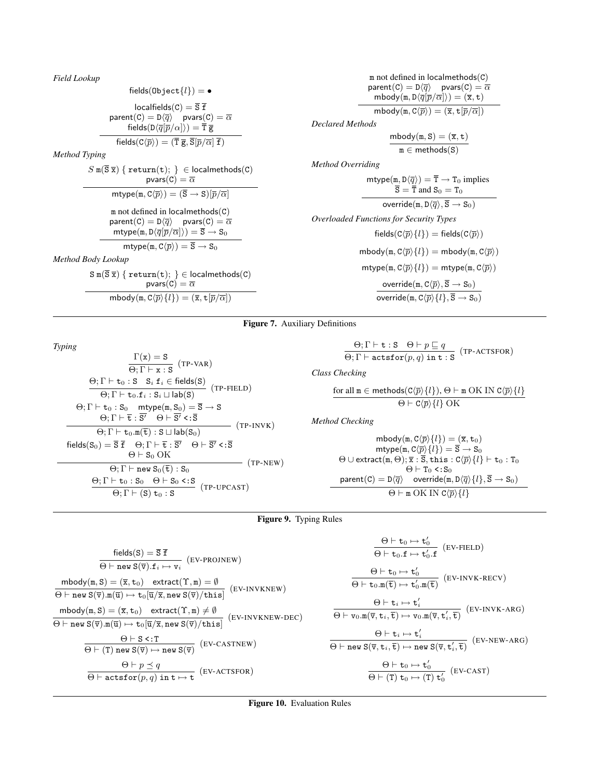*Field Lookup*

$$
\begin{array}{c} \mathsf{fields}(\mathsf{Object}\{l\}) = \bullet \\ \mathsf{localfields}(C) = \overline{\mathsf{S}} \ \overline{\mathsf{f}} \\ \mathsf{parent}(C) = \mathsf{D}\langle \overline{q} \rangle \quad \mathsf{pvars}(C) = \overline{\alpha} \\ \mathsf{fields}(\mathsf{D}\langle \overline{q}[\overline{p}/\alpha]\rangle) = \overline{\mathsf{T}} \ \overline{\mathsf{g}} \\ \mathsf{fields}(C\langle \overline{p}\rangle) = (\overline{\mathsf{T}} \ \overline{\mathsf{g}}, \overline{\mathsf{S}}[\overline{p}/\overline{\alpha}] \ \overline{\mathsf{f}}) \\ \mathsf{g} \end{array}
$$

*Method Typing*

$$
S \mathbin{\mathfrak{m}}(\overline{S} \overline{x}) \{ \text{return}(t); \} \in \text{localmethods}(C)
$$
\n
$$
\text{pvars}(C) = \overline{\alpha}
$$
\n
$$
\text{mtype}(\mathfrak{m}, C\langle\overline{p}\rangle) = (\overline{S} \to S)[\overline{p}/\overline{\alpha}]
$$
\n
$$
\mathfrak{m} \text{ not defined in localmethods}(C)
$$
\n
$$
\text{parent}(C) = D\langle\overline{q}\rangle \quad \text{pvars}(C) = \overline{\alpha}
$$
\n
$$
\text{mtype}(\mathfrak{m}, D\langle\overline{q}[\overline{p}/\overline{\alpha}]\rangle) = \overline{S} \to S_0
$$
\n
$$
\text{mtype}(\mathfrak{m}, C\langle\overline{p}\rangle) = \overline{S} \to S_0
$$
\n
$$
\text{Method Body Looking}
$$
\n
$$
S \mathbin{\mathfrak{m}}(\overline{S} \overline{x}) \{ \text{return}(t); \} \subseteq \text{local methods}(C)
$$

$$
\begin{aligned} \texttt{S} \ \texttt{m}(\overline{\texttt{S}} \ \overline{\texttt{x}}) \ \{\ \texttt{return}(\texttt{t});\ \} \in \textsf{localmethods}(\texttt{C}) \\ \texttt{pvars}(\texttt{C}) = \overline{\alpha} \\ \texttt{mbody}(\texttt{m}, \texttt{C}\langle \overline{p} \rangle \{l\}) = (\overline{\texttt{x}}, \texttt{t}[\overline{p}/\overline{\alpha}]) \end{aligned}
$$

m not defined in localmethods(C)  $parent(C) = D\langle \overline{q} \rangle$  pvars $(C) = \overline{\alpha}$  $\text{mbody}(\text{m}, \text{D}\langle \overline{\overline{q}}[\overline{p}/\overline{\alpha}]\rangle) = (\overline{\overline{x}}, \overline{\overline{t}})$  $\text{mbody}(\text{m}, \text{C}\langle \overline{p} \rangle) = (\overline{\mathbf{x}}, \text{t}[\overline{p}/\overline{\alpha}])$ *Declared Methods*  $mbody(m, S) = (\overline{x}, t)$  $m \in$  methods(S) *Method Overriding*  $\text{mtype}(\text{m}, \text{D}\langle \overline{q} \rangle) = \overline{\text{T}} \to \text{T}_0 \text{ implies}$  $\overline{S} = \overline{T}$  and  $S_0 = T_0$ override(m,  $D\langle \overline{q} \rangle$ ,  $\overline{S} \rightarrow S_0$ ) *Overloaded Functions for Security Types*  $\textsf{fields}(C\langle\overline{p}\rangle\{l\}) = \textsf{fields}(C\langle\overline{p}\rangle)$  $\text{mbody}(m, C\langle \overline{p}\rangle\{l\}) = \text{mbody}(m, C\langle \overline{p}\rangle)$  $\text{mtype}(\text{m}, \text{C}\langle\overline{p}\rangle\{l\}) = \text{mtype}(\text{m}, \text{C}\langle\overline{p}\rangle)$  $\mathsf{override}(\mathtt{m}, \mathtt{C}\langle\overline{p}\rangle, \overline{\mathtt{S}} \rightarrow \mathtt{S}_0)$  $over^{\text{normal}(m, C\langle \overline{p} \rangle \{l\}, \overline{S} \rightarrow S_0)}$ 

Figure 7. Auxiliary Definitions

*Typing*

$$
\frac{\Gamma(x) = S}{\Theta; \Gamma \vdash x : S} \text{ (TP-VAR)}
$$
\n
$$
\frac{\Theta; \Gamma \vdash t_0 : S \quad S_i \ f_i \in fields(S)}{\Theta; \Gamma \vdash t_0.f_i : S_i \sqcup lab(S)} \text{ (TP-FIELD)}
$$
\n
$$
\Theta; \Gamma \vdash t_0 : S_0 \quad \text{mtype}(\text{m}, S_0) = \overline{S} \rightarrow S
$$
\n
$$
\Theta; \Gamma \vdash t_0 : S_0 \quad \text{mtype}(\text{m}, S_0) = \overline{S} \rightarrow S
$$
\n
$$
\Theta; \Gamma \vdash t_0 \text{ m}(t) : S \sqcup lab(S_0) \qquad (\text{TP-INVK})
$$
\n
$$
\text{fields}(S_0) = \overline{S} \ \overline{f} \quad \Theta; \Gamma \vdash \overline{t} : \overline{S'} \quad \Theta \vdash \overline{S'} <: \overline{S}
$$
\n
$$
\Theta \vdash S_0 \text{ OK} \qquad \qquad (T\text{P-NEW})
$$
\n
$$
\Theta; \Gamma \vdash \text{new } S_0(\overline{t}) : S_0 \qquad \qquad (\text{TP-NEW})
$$
\n
$$
\Theta; \Gamma \vdash t_0 : S_0 \quad \Theta \vdash S_0 <: S \qquad \qquad (\text{TP-UPCAST})
$$

$$
\frac{\Theta; \Gamma \vdash \texttt{t}: \texttt{S} \quad \Theta \vdash p \sqsubseteq q}{\Theta; \Gamma \vdash \texttt{actsfor}(p, q) \texttt{in } \texttt{t}: \texttt{S}} \texttt{(TP-ACTSFOR)}
$$

*Class Checking*

$$
\cfrac{\text{for all } m \in \mathsf{methods}(C\langle \overline{p} \rangle \{l\}), \Theta \vdash m \text{ OK IN } C\langle \overline{p} \rangle \{l\}}{\Theta \vdash C\langle \overline{p} \rangle \{l\} \text{ OK}}
$$

*Method Checking*

$$
\begin{matrix} \mathsf{mbody}(m, C\langle \overline{p} \rangle \{ l \} ) = (\overline{x}, \mathtt{t_0}) \\ \mathsf{mtype}(m, C\langle \overline{p} \rangle \{ l \} ) = \overline{S} \rightarrow S_0 \\ \Theta \cup \mathsf{extract}(m, \Theta); \overline{x} : \overline{S}, \mathtt{this} : C\langle \overline{p} \rangle \{ l \} \vdash \mathtt{t_0} : T_0 \\ \Theta \vdash T_0 < : S_0 \\ \mathsf{parent}(C) = D\langle \overline{q} \rangle \quad \text{override}(m, D\langle \overline{q} \rangle \{ l \}, \overline{S} \rightarrow S_0) \\ \Theta \vdash m \ \text{OK} \ \text{IN} \ C\langle \overline{p} \rangle \{ l \} \end{matrix}
$$

# Figure 9. Typing Rules

| fields(S) = $\overline{S} \overline{f}$ | $\overline{\Theta \vdash t_0 \cdot f \rightarrow t'_0}$ | $\overline{\Theta \vdash t_0 \cdot f \rightarrow t'_0}$ | $\overline{\Theta \vdash t_0 \cdot f \rightarrow t'_0}$ | $\overline{\Theta \vdash t_0 \cdot f \rightarrow t'_0}$ | $\overline{\Theta \vdash t_0 \cdot f \rightarrow t'_0}$ | $\overline{\Theta \vdash t_0 \cdot f \rightarrow t'_0}$ | $\overline{\Theta \vdash t_0 \cdot f \rightarrow t'_0}$ | $\overline{\Theta \vdash t_0 \cdot f \rightarrow t'_0}$ | $\overline{\Theta \vdash t_0 \cdot f \rightarrow t'_0}$ | $\overline{\Theta \vdash t_0 \cdot f \rightarrow t'_0}$ | $\overline{\Theta \vdash t_0 \cdot f \rightarrow t'_0}$ | $\overline{\Theta \vdash t_0 \cdot f \rightarrow t'_0}$ | $\overline{\Theta \vdash t_0 \cdot f \rightarrow t'_0}$ | $\overline{\Theta \vdash t_0 \cdot f \rightarrow t'_0}$ | $\overline{\Theta \vdash t_0 \cdot f \rightarrow t'_0}$ | $\overline{\Theta \vdash t_0 \cdot f \rightarrow t'_0}$ | $\overline{\Theta \vdash t_0 \cdot f \rightarrow t'_0}$ | $\overline{\Theta \vdash t_0 \cdot f \rightarrow t'_0}$ | $\overline{\Theta \vdash t_0 \cdot f \rightarrow t'_0}$ | $\overline{\Theta \vdash t_0 \cdot f \rightarrow t'_0}$ | $\overline{\Theta \vdash t_0 \cdot f \rightarrow t'_0}$ | $\overline{\Theta \vdash t_0 \cdot f \rightarrow t'_0}$ | $\overline{\Theta \vdash t_0 \cdot f \rightarrow t'_0}$ | $\overline{\Theta \vdash t_0 \cdot f \rightarrow t'_0}$ | $\overline{\Theta \vdash t_0 \cdot f \rightarrow t'_0}$ | $\overline{\Theta \vdash t_0 \cdot f \rightarrow t'_0}$ | <math< th=""></math<> |
|-----------------------------------------|---------------------------------------------------------|---------------------------------------------------------|---------------------------------------------------------|---------------------------------------------------------|---------------------------------------------------------|---------------------------------------------------------|---------------------------------------------------------|---------------------------------------------------------|---------------------------------------------------------|---------------------------------------------------------|---------------------------------------------------------|---------------------------------------------------------|---------------------------------------------------------|---------------------------------------------------------|---------------------------------------------------------|---------------------------------------------------------|---------------------------------------------------------|---------------------------------------------------------|---------------------------------------------------------|---------------------------------------------------------|---------------------------------------------------------|---------------------------------------------------------|---------------------------------------------------------|---------------------------------------------------------|---------------------------------------------------------|---------------------------------------------------------|-----------------------|
|-----------------------------------------|---------------------------------------------------------|---------------------------------------------------------|---------------------------------------------------------|---------------------------------------------------------|---------------------------------------------------------|---------------------------------------------------------|---------------------------------------------------------|---------------------------------------------------------|---------------------------------------------------------|---------------------------------------------------------|---------------------------------------------------------|---------------------------------------------------------|---------------------------------------------------------|---------------------------------------------------------|---------------------------------------------------------|---------------------------------------------------------|---------------------------------------------------------|---------------------------------------------------------|---------------------------------------------------------|---------------------------------------------------------|---------------------------------------------------------|---------------------------------------------------------|---------------------------------------------------------|---------------------------------------------------------|---------------------------------------------------------|---------------------------------------------------------|-----------------------|

Figure 10. Evaluation Rules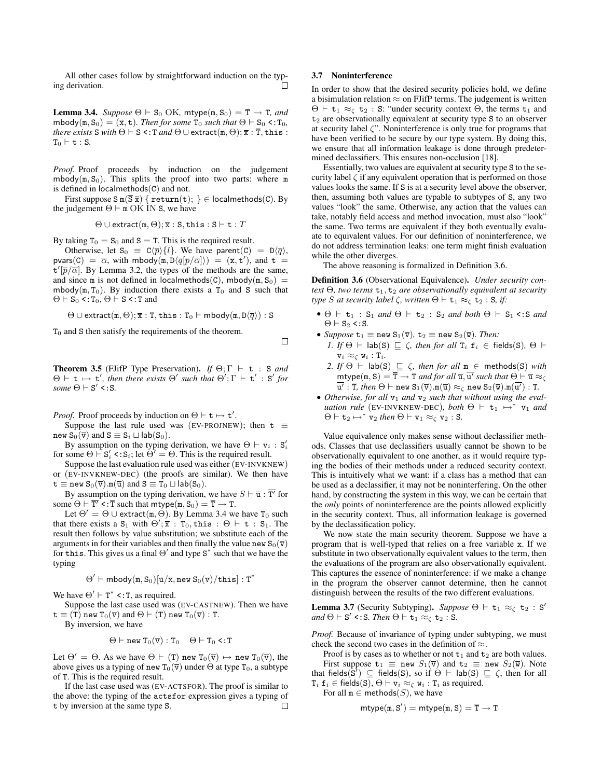All other cases follow by straightforward induction on the typing derivation.  $\Box$ 

**Lemma 3.4.** *Suppose*  $\Theta \vdash S_0$  OK, mtype(m, S<sub>0</sub>) =  $\overline{T} \rightarrow T$ *, and* mbody(m, S<sub>0</sub>) = ( $\overline{x}$ , t). Then for some  $T_0$  such that  $\Theta \vdash S_0 \le T_0$ , *there exists* S *with*  $\Theta \vdash S \leq T$  *and*  $\Theta \cup$  extract $(m, \Theta); \overline{x} : \overline{T}$ , this :  $T_0 \vdash t : S.$ 

*Proof.* Proof proceeds by induction on the judgement mbody( $m, S<sub>0</sub>$ ). This splits the proof into two parts: where m is defined in localmethods(C) and not.

First suppose S  $m(\overline{S} \overline{x})$  { return(t); }  $\in$  localmethods(C). By the judgement  $\Theta \vdash m$  OK IN S, we have

 $\Theta \cup$  extract $(m, \Theta); \overline{x} : S,$  this  $: S \vdash t : T$ 

By taking  $T_0 = S_0$  and  $S = T$ . This is the required result.

Otherwise, let  $S_0 \equiv C \langle \overline{p} \rangle \{l\}$ . We have parent(C) =  $D \langle \overline{q} \rangle$ , pvars(C) =  $\overline{\alpha}$ , with mbody $(m, D\langle \overline{q}[\overline{p}/\overline{\alpha}])$  =  $(\overline{x}, t')$ , and t =  $\mathbf{t}'[\overline{p}/\overline{\alpha}]$ . By Lemma 3.2, the types of the methods are the same, and since m is not defined in localmethods(C), mbody(m,  $S_0$ ) = mbody( $m, T_0$ ). By induction there exists a  $T_0$  and S such that  $\Theta \vdash S_0 \prec : T_0, \Theta \vdash S \prec : T$  and

 $\Theta$   $\cup$  extract(m,  $\Theta$ );  $\overline{x}$  : T, this : T<sub>0</sub>  $\vdash$  mbody(m, D $\langle \overline{q} \rangle$ ) : S

 $T_0$  and S then satisfy the requirements of the theorem.

 $\Box$ 

**Theorem 3.5** (FJifP Type Preservation). *If*  $\Theta$ ;  $\Gamma \vdash t : S$  *and*  $\Theta \vdash t \mapsto t'$ , then there exists  $\Theta'$  such that  $\Theta'; \Gamma \vdash t' : S'$  for  $some \Theta \vdash S' \lt : S$ .

*Proof.* Proof proceeds by induction on  $\Theta \vdash t \mapsto t'$ .

Suppose the last rule used was (EV-PROJNEW); then  $t \equiv$ new  $S_0(\overline{v})$  and  $S \equiv S_i \sqcup \text{lab}(S_0)$ .

By assumption on the typing derivation, we have  $\Theta \vdash v_i : S'_i$ for some  $\Theta \vdash S_i' \lt S_i$ ; let  $\Theta' = \Theta$ . This is the required result.

Suppose the last evaluation rule used was either (EV-INVKNEW) or (EV-INVKNEW-DEC) (the proofs are similar). We then have  $\mathtt{t} \equiv \mathtt{new} \, \mathtt{S}_0(\overline{\mathtt{v}}) . \mathtt{m}(\overline{\mathtt{u}})$  and  $\mathtt{S} \equiv \mathtt{T}_0 \sqcup \mathsf{lab}(\mathtt{S}_0)$ .

By assumption on the typing derivation, we have  $S \vdash \overline{u} : \overline{T'}$  for some  $\Theta \vdash \overline{\mathrm{T}'} \lt \colon \overline{\mathrm{T}}$  such that  $\mathsf{mtype}(\mathrm{m}, \mathrm{S}_0) = \overline{\mathrm{T}} \to \mathrm{T}.$ 

Let  $\Theta' = \Theta \cup$  extract $(m, \Theta)$ . By Lemma 3.4 we have T<sub>0</sub> such that there exists a  $S_1$  with  $\Theta'; \bar{x} : T_0$ , this :  $\Theta \vdash t : S_1$ . The result then follows by value substitution; we substitute each of the arguments in for their variables and then finally the value new  $S_0(\overline{v})$ for this. This gives us a final  $\Theta'$  and type  $S^*$  such that we have the typing

$$
\Theta' \vdash \mathsf{mbody}(m,S_0)[\overline{u}/\overline{x},\mathtt{new}\ S_0(\overline{v})/\mathtt{this}]: T^*
$$

We have  $\Theta' \vdash T^* \leq T$ , as required.

Suppose the last case used was (EV-CASTNEW). Then we have  $t \equiv (\overline{T})$  new  $T_0(\overline{v})$  and  $\Theta \vdash (T)$  new  $T_0(\overline{v})$  : T.

By inversion, we have

$$
\Theta \vdash \texttt{new } T_0(\overline{v}) : T_0 \quad \Theta \vdash T_0 \leq T
$$

Let  $\Theta' = \Theta$ . As we have  $\Theta \vdash (T)$  new  $T_0(\overline{v}) \mapsto$  new  $T_0(\overline{v})$ , the above gives us a typing of new  $T_0(\overline{v})$  under  $\Theta$  at type  $T_0$ , a subtype of T. This is the required result.

If the last case used was (EV-ACTSFOR). The proof is similar to the above: the typing of the actsfor expression gives a typing of t by inversion at the same type S. П

### 3.7 Noninterference

In order to show that the desired security policies hold, we define a bisimulation relation  $\approx$  on FJifP terms. The judgement is written  $\Theta \vdash t_1 \approx_{\zeta} t_2$ : S: "under security context  $\Theta$ , the terms  $t_1$  and  $t_2$  are observationally equivalent at security type S to an observer at security label  $\zeta$ ". Noninterference is only true for programs that have been verified to be secure by our type system. By doing this, we ensure that all information leakage is done through predetermined declassifiers. This ensures non-occlusion [18].

Essentially, two values are equivalent at security type S to the security label  $\zeta$  if any equivalent operation that is performed on those values looks the same. If S is at a security level above the observer, then, assuming both values are typable to subtypes of S, any two values "look" the same. Otherwise, any action that the values can take, notably field access and method invocation, must also "look" the same. Two terms are equivalent if they both eventually evaluate to equivalent values. For our definition of noninterference, we do not address termination leaks: one term might finish evaluation while the other diverges.

The above reasoning is formalized in Definition 3.6.

Definition 3.6 (Observational Equivalence). *Under security context*  $\Theta$ *, two terms*  $t_1$ *,*  $t_2$  *are observationally equivalent at security type S at security label*  $\zeta$ *, written*  $\Theta \vdash t_1 \approx_{\zeta} t_2 : S$ *, if:* 

- $\bullet$   $\Theta$   $\vdash$   $t_1$  : S<sub>1</sub> and  $\Theta$   $\vdash$   $t_2$  : S<sub>2</sub> and both  $\Theta$   $\vdash$  S<sub>1</sub> <:S and  $\Theta \vdash S_2 \leq S.$
- *Suppose*  $t_1 \equiv$  new  $S_1(\overline{v})$ ,  $t_2 \equiv$  new  $S_2(\overline{w})$ *. Then:* 
	- *1.* If  $\Theta$   $\vdash$  lab(S)  $\sqsubseteq$   $\zeta$ *, then for all*  $T_i$   $f_i \in$  fields(S),  $\Theta$   $\vdash$  $v_i \approx_\zeta v_i : T_i.$
	- *2. If*  $\Theta$   $\vdash$  lab(S)  $\sqsubseteq$   $\zeta$ *, then for all*  $m \in$  methods(S) *with*  $\mathsf{mtype}(\mathtt{m}, \mathtt{S}) = \overline{\mathtt{T}} \to \mathtt{T}$  and for all  $\overline{\mathtt{u}}, \overline{\mathtt{u}'}$  such that  $\Theta \vdash \overline{\mathtt{u}} \approx_\zeta$  $\overline{\mathtt{u}'}: \overline{\mathtt{T}},$  then  $\Theta \vdash \mathtt{new} \ \mathtt{S}_1(\overline{\mathtt{v}}) . \mathtt{m}(\overline{\mathtt{u}}) \approx_\zeta \mathtt{new} \ \mathtt{S}_2(\overline{\mathtt{w}}) . \mathtt{m}(\overline{\mathtt{u}'}): \mathtt{T}.$
- Otherwise, for all  $v_1$  and  $v_2$  such that without using the eval*uation rule* (EV-INVKNEW-DEC)*, both*  $\Theta \vdash t_1 \mapsto * v_1$  *and*  $\Theta \vdash t_2 \mapsto^* v_2$  then  $\Theta \vdash v_1 \approx_{\zeta} v_2 : S$ .

Value equivalence only makes sense without declassifier methods. Classes that use declassifiers usually cannot be shown to be observationally equivalent to one another, as it would require typing the bodies of their methods under a reduced security context. This is intuitively what we want: if a class has a method that can be used as a declassifier, it may not be noninterfering. On the other hand, by constructing the system in this way, we can be certain that the *only* points of noninterference are the points allowed explicitly in the security context. Thus, all information leakage is governed by the declassification policy.

We now state the main security theorem. Suppose we have a program that is well-typed that relies on a free variable x. If we substitute in two observationally equivalent values to the term, then the evaluations of the program are also observationally equivalent. This captures the essence of noninterference: if we make a change in the program the observer cannot determine, then he cannot distinguish between the results of the two different evaluations.

**Lemma 3.7** (Security Subtyping). *Suppose*  $\Theta \vdash t_1 \approx_{\zeta} t_2 : S'$  $and \Theta \vdash S' \prec : S.$  Then  $\Theta \vdash t_1 \approx_{\zeta} t_2 : S.$ 

*Proof.* Because of invariance of typing under subtyping, we must check the second two cases in the definition of  $\approx$ .

Proof is by cases as to whether or not  $t_1$  and  $t_2$  are both values. First suppose  $t_1 \equiv$  new  $S_1(\overline{v})$  and  $t_2 \equiv$  new  $S_2(\overline{v})$ . Note that fields $(\overline{S}') \subseteq$  fields $(S)$ , so if  $\Theta \vdash$  lab $(S) \sqsubseteq \zeta$ , then for all  $T_i$   $f_i \in \text{fields}(S), \Theta \vdash v_i \approx_{\zeta} v_i : T_i$  as required.

For all  $m \in \text{methods}(S)$ , we have

$$
\mathsf{mtype}(m,S') = \mathsf{mtype}(m,S) = \overline{T} \to T
$$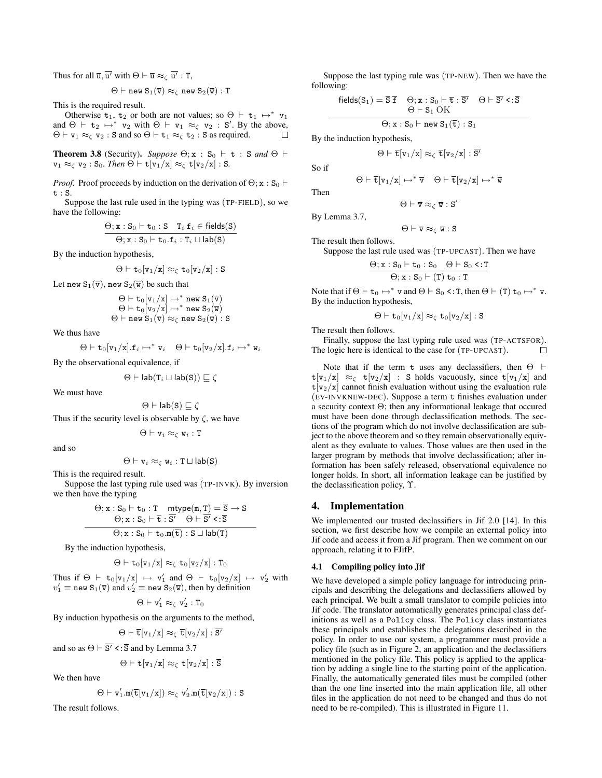Thus for all  $\overline{u}$ ,  $\overline{u'}$  with  $\Theta \vdash \overline{u} \approx_{\zeta} \overline{u'} : T$ ,

$$
\Theta \vdash \mathtt{new} \ \mathtt{S}_1(\overline{\mathtt{v}}) \approx_\zeta \mathtt{new} \ \mathtt{S}_2(\overline{\mathtt{w}}) : \mathtt{T}
$$

This is the required result.

Otherwise  $t_1$ ,  $t_2$  or both are not values; so  $\Theta \vdash t_1 \mapsto^* v_1$ and  $\Theta \vdash t_2 \mapsto^* v_2$  with  $\Theta \vdash v_1 \approx_{\zeta} v_2 : S'.$  By the above,  $\Theta \vdash v_1 \approx_{\zeta} v_2 : S$  and so  $\Theta \vdash t_1 \approx_{\zeta} t_2 : S$  as required.  $\Box$ 

**Theorem 3.8** (Security). *Suppose*  $\Theta$ ;  $x : S_0 \vdash t : S$  *and*  $\Theta \vdash$  $v_1 \approx_{\zeta} v_2 : S_0$ . Then  $\Theta \vdash t[v_1/x] \approx_{\zeta} t[v_2/x] : S$ .

*Proof.* Proof proceeds by induction on the derivation of  $\Theta$ ;  $x : S_0 \vdash$ t : S.

Suppose the last rule used in the typing was (TP-FIELD), so we have the following:

$$
\frac{\Theta; \text{x}:\text{S}_0 \vdash \texttt{t}_0: \text{S} \quad \text{T}_i \text{ f}_i \in \text{fields}(\text{S})}{\Theta; \text{x}:\text{S}_0 \vdash \texttt{t}_0.\text{f}_i: \text{T}_i \sqcup \text{lab}(\text{S})}
$$

By the induction hypothesis,

$$
\Theta \vdash \mathtt{t}_0[\mathtt{v}_1/\mathtt{x}] \approx_\zeta \mathtt{t}_0[\mathtt{v}_2/\mathtt{x}] : \mathtt{S}
$$

Let new  $S_1(\overline{v})$ , new  $S_2(\overline{v})$  be such that

$$
\begin{array}{c}\Theta \vdash t_0[v_1/x] \mapsto^* \mathbf{new} \ S_1(\overline{v}) \\ \Theta \vdash t_0[v_2/x] \mapsto^* \mathbf{new} \ S_2(\overline{w}) \\ \Theta \vdash \mathbf{new} \ S_1(\overline{v}) \approx_{\zeta} \mathbf{new} \ S_2(\overline{w}) : \mathbf{S}\end{array}
$$

We thus have

$$
\Theta \vdash \mathbf{t}_0[\mathbf{v}_1/\mathbf{x}].\mathbf{f}_i \mapsto^* \mathbf{v}_i \quad \Theta \vdash \mathbf{t}_0[\mathbf{v}_2/\mathbf{x}].\mathbf{f}_i \mapsto^* \mathbf{w}_i
$$

By the observational equivalence, if

$$
\Theta \vdash \mathsf{lab}(\mathtt{T}_i \sqcup \mathsf{lab}(\mathtt{S})) \sqsubseteq \zeta
$$

We must have

 $\Theta \vdash \mathsf{lab}(\mathsf{S}) \sqsubset \zeta$ Thus if the security level is observable by  $\zeta$ , we have

 $\Theta \vdash v_i \approx_{\sub{c}} v_i : T$ 

and so

$$
\Theta \vdash v_i \approx_{\zeta} v_i : T \sqcup \mathsf{lab}(S)
$$

This is the required result.

Suppose the last typing rule used was (TP-INVK). By inversion we then have the typing

$$
\Theta; x : S_0 \vdash t_0 : T \quad \text{mtype}(\mathfrak{m}, T) = \overline{S} \rightarrow S
$$
  

$$
\Theta; x : S_0 \vdash \overline{t} : \overline{S'} \quad \Theta \vdash \overline{S'} < : \overline{S}
$$
  

$$
\Theta; x : S_0 \vdash t_0.\mathfrak{m}(\overline{t}) : S \sqcup \text{lab}(T)
$$

By the induction hypothesis,

$$
\Theta \vdash \texttt{t}_0[\mathtt{v}_1/\mathtt{x}] \approx_\zeta \texttt{t}_0[\mathtt{v}_2/\mathtt{x}] : \mathtt{T}_0
$$

Thus if  $\Theta \vdash t_0[v_1/x] \mapsto v'_1$  and  $\Theta \vdash t_0[v_2/x] \mapsto v'_2$  with  $v'_1 \equiv$  new  $S_1(\overline{v})$  and  $v'_2 \equiv$  new  $S_2(\overline{v})$ , then by definition

$$
\Theta \vdash v_1' \approx_\zeta v_2' : T_0
$$

By induction hypothesis on the arguments to the method,

$$
\Theta \vdash \overline{\mathtt{t}}[v_1/x] \approx_\zeta \overline{\mathtt{t}}[v_2/x] : \overline{S'}
$$

and so as  $\Theta \vdash \overline{S'} \lt : \overline{S}$  and by Lemma 3.7

$$
\Theta \vdash \overline{\mathtt{t}}[\mathtt{v}_1/\mathtt{x}] \approx_{\zeta} \overline{\mathtt{t}}[\mathtt{v}_2/\mathtt{x}] : \overline{\mathtt{S}}
$$

We then have

$$
\Theta \vdash v_1'.\mathtt{m}(\overline{\mathtt{t}}[v_1/x]) \approx_\zeta v_2'.\mathtt{m}(\overline{\mathtt{t}}[v_2/x]): S
$$

The result follows.

Suppose the last typing rule was (TP-NEW). Then we have the following:

$$
\text{fields}(S_1) = \overline{S} \ \overline{f} \quad \Theta; x : S_0 \vdash \overline{t} : \overline{S'} \quad \Theta \vdash \overline{S'} < : \overline{S} \newline \Theta \vdash S_1 \ \text{OK} \newline \Theta; x : S_0 \vdash \text{new } S_1(\overline{t}) : S_1
$$

By the induction hypothesis,

$$
\Theta \vdash \overline{\mathtt{t}}[v_1/x] \approx_\zeta \overline{\mathtt{t}}[v_2/x] : \overline{S'}
$$

So if

$$
\Theta \vdash \overline{\mathtt{t}}[v_1/x] \mapsto^* \overline{v} \quad \Theta \vdash \overline{\mathtt{t}}[v_2/x] \mapsto^* \overline{w}
$$

 $\Theta \vdash \overline{\mathtt{v}} \approx_\zeta \overline{\mathtt{w}} : \mathtt{S}'$ 

Then

By Lemma 3.7,

 $\Theta \vdash \overline{\mathtt{v}} \approx_{\mathcal{C}} \overline{\mathtt{w}} : \mathtt{S}$ 

The result then follows.

Suppose the last rule used was (TP-UPCAST). Then we have

$$
\frac{\Theta; \mathbf{x} : \mathbf{S}_0 \vdash \mathbf{t}_0 : \mathbf{S}_0 \quad \Theta \vdash \mathbf{S}_0 <: \mathbf{T}}{\Theta; \mathbf{x} : \mathbf{S}_0 \vdash (\mathbf{T}) \mathbf{t}_0 : \mathbf{T}}
$$

Note that if  $\Theta \vdash t_0 \mapsto^* v$  and  $\Theta \vdash S_0 \leq T$ , then  $\Theta \vdash (T) t_0 \mapsto^* v$ . By the induction hypothesis,

$$
\Theta \vdash \mathtt{t}_0[\mathtt{v}_1/\mathtt{x}] \approx_{\zeta} \mathtt{t}_0[\mathtt{v}_2/\mathtt{x}] : \mathtt{S}
$$

The result then follows.

Finally, suppose the last typing rule used was (TP-ACTSFOR). The logic here is identical to the case for (TP-UPCAST).  $\Box$ 

Note that if the term t uses any declassifiers, then  $\Theta$   $\vdash$  $t[v_1/x] \approx_c t[v_2/x]$  : S holds vacuously, since  $t[v_1/x]$  and  $t[v_2/x]$  cannot finish evaluation without using the evaluation rule (EV-INVKNEW-DEC). Suppose a term t finishes evaluation under a security context  $\Theta$ ; then any informational leakage that occured must have been done through declassification methods. The sections of the program which do not involve declassification are subject to the above theorem and so they remain observationally equivalent as they evaluate to values. Those values are then used in the larger program by methods that involve declassification; after information has been safely released, observational equivalence no longer holds. In short, all information leakage can be justified by the declassification policy, Υ.

## 4. Implementation

We implemented our trusted declassifiers in Jif 2.0 [14]. In this section, we first describe how we compile an external policy into Jif code and access it from a Jif program. Then we comment on our approach, relating it to FJifP.

### 4.1 Compiling policy into Jif

We have developed a simple policy language for introducing principals and describing the delegations and declassifiers allowed by each principal. We built a small translator to compile policies into Jif code. The translator automatically generates principal class definitions as well as a Policy class. The Policy class instantiates these principals and establishes the delegations described in the policy. In order to use our system, a programmer must provide a policy file (such as in Figure 2, an application and the declassifiers mentioned in the policy file. This policy is applied to the application by adding a single line to the starting point of the application. Finally, the automatically generated files must be compiled (other than the one line inserted into the main application file, all other files in the application do not need to be changed and thus do not need to be re-compiled). This is illustrated in Figure 11.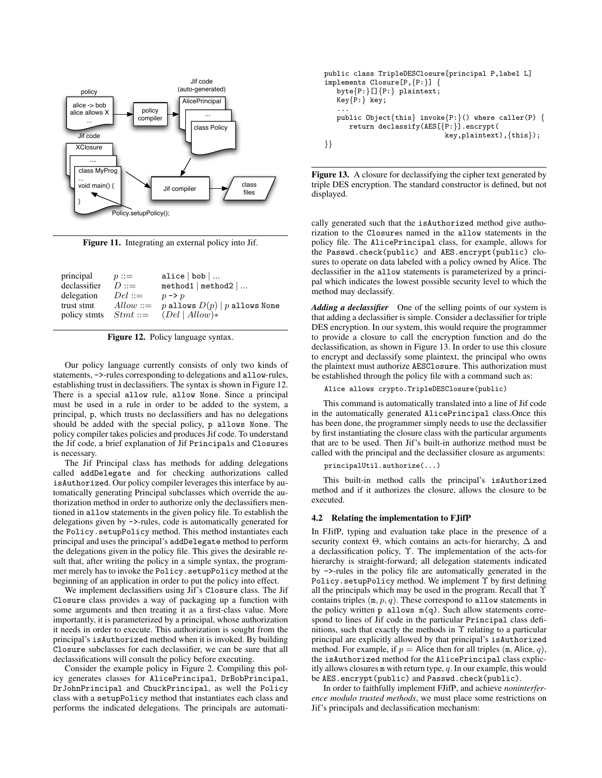

Figure 11. Integrating an external policy into Jif.

| principal<br>declassifier<br>delegation<br>trust stmt | $p ::=$<br>$D ::=$<br>$Del ::=$ | alice $ $ bob $ $<br>method1   method2  <br>$p \rightarrow p$<br>Allow ::= $p$ allows $D(p)   p$ allows None<br>policy stmts $Stmt ::= (Del   Allow)*$ |
|-------------------------------------------------------|---------------------------------|--------------------------------------------------------------------------------------------------------------------------------------------------------|
|-------------------------------------------------------|---------------------------------|--------------------------------------------------------------------------------------------------------------------------------------------------------|

Figure 12. Policy language syntax.

Our policy language currently consists of only two kinds of statements, ->-rules corresponding to delegations and allow-rules, establishing trust in declassifiers. The syntax is shown in Figure 12. There is a special allow rule, allow None. Since a principal must be used in a rule in order to be added to the system, a principal, p, which trusts no declassifiers and has no delegations should be added with the special policy, p allows None. The policy compiler takes policies and produces Jif code. To understand the Jif code, a brief explanation of Jif Principals and Closures is necessary.

The Jif Principal class has methods for adding delegations called addDelegate and for checking authorizations called isAuthorized. Our policy compiler leverages this interface by automatically generating Principal subclasses which override the authorization method in order to authorize only the declassifiers mentioned in allow statements in the given policy file. To establish the delegations given by ->-rules, code is automatically generated for the Policy.setupPolicy method. This method instantiates each principal and uses the principal's addDelegate method to perform the delegations given in the policy file. This gives the desirable result that, after writing the policy in a simple syntax, the programmer merely has to invoke the Policy.setupPolicy method at the beginning of an application in order to put the policy into effect.

We implement declassifiers using Jif's Closure class. The Jif Closure class provides a way of packaging up a function with some arguments and then treating it as a first-class value. More importantly, it is parameterized by a principal, whose authorization it needs in order to execute. This authorization is sought from the principal's isAuthorized method when it is invoked. By building Closure subclasses for each declassifier, we can be sure that all declassifications will consult the policy before executing.

Consider the example policy in Figure 2. Compiling this policy generates classes for AlicePrincipal, DrBobPrincipal, DrJohnPrincipal and ChuckPrincipal, as well the Policy class with a setupPolicy method that instantiates each class and performs the indicated delegations. The principals are automati-

public class TripleDESClosure[principal P,label L] implements Closure[P,{P:}] { byte{P:}[]{P:} plaintext; Key{P:} key; ... public Object{this} invoke{P:}() where caller(P) { return declassify(AES[{P:}].encrypt( key,plaintext),{this}); }}

Figure 13. A closure for declassifying the cipher text generated by triple DES encryption. The standard constructor is defined, but not displayed.

cally generated such that the isAuthorized method give authorization to the Closures named in the allow statements in the policy file. The AlicePrincipal class, for example, allows for the Passwd.check(public) and AES.encrypt(public) closures to operate on data labeled with a policy owned by Alice. The declassifier in the allow statements is parameterized by a principal which indicates the lowest possible security level to which the method may declassify.

*Adding a declassifier* One of the selling points of our system is that adding a declassifier is simple. Consider a declassifier for triple DES encryption. In our system, this would require the programmer to provide a closure to call the encryption function and do the declassification, as shown in Figure 13. In order to use this closure to encrypt and declassify some plaintext, the principal who owns the plaintext must authorize AESClosure. This authorization must be established through the policy file with a command such as:

Alice allows crypto.TripleDESClosure(public)

This command is automatically translated into a line of Jif code in the automatically generated AlicePrincipal class.Once this has been done, the programmer simply needs to use the declassifier by first instantiating the closure class with the particular arguments that are to be used. Then Jif's built-in authorize method must be called with the principal and the declassifier closure as arguments:

principalUtil.authorize(...)

This built-in method calls the principal's isAuthorized method and if it authorizes the closure, allows the closure to be executed.

### 4.2 Relating the implementation to FJifP

In FJifP, typing and evaluation take place in the presence of a security context  $\Theta$ , which contains an acts-for hierarchy,  $\Delta$  and a declassification policy, Υ. The implementation of the acts-for hierarchy is straight-forward; all delegation statements indicated by ->-rules in the policy file are automatically generated in the Policy.setupPolicy method. We implement Υ by first defining all the principals which may be used in the program. Recall that  $\Upsilon$ contains triples  $(m, p, q)$ . These correspond to allow statements in the policy written p allows m(q). Such allow statements correspond to lines of Jif code in the particular Principal class definitions, such that exactly the methods in  $\Upsilon$  relating to a particular principal are explicitly allowed by that principal's isAuthorized method. For example, if  $p =$  Alice then for all triples  $(m,$  Alice, q), the isAuthorized method for the AlicePrincipal class explicitly allows closures  $m$  with return type,  $q$ . In our example, this would be AES.encrypt(public) and Passwd.check(public).

In order to faithfully implement FJifP, and achieve *noninterference modulo trusted methods*, we must place some restrictions on Jif's principals and declassification mechanism: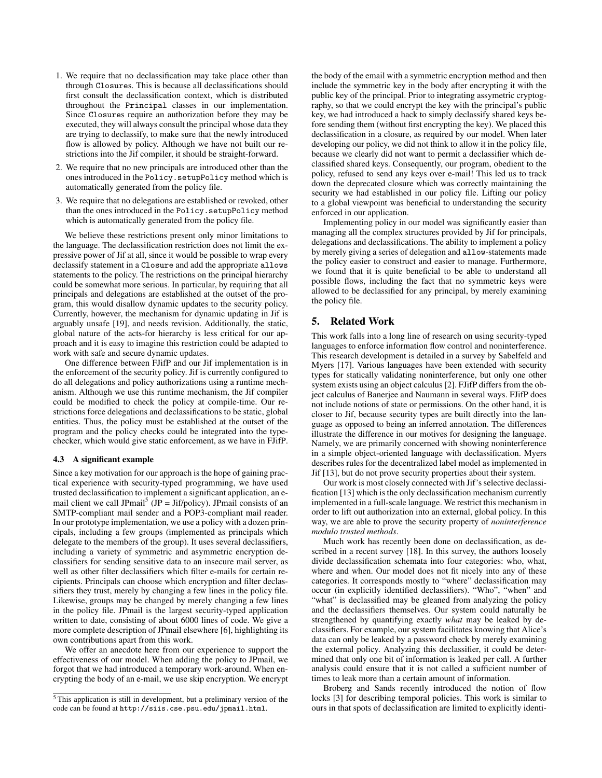- 1. We require that no declassification may take place other than through Closures. This is because all declassifications should first consult the declassification context, which is distributed throughout the Principal classes in our implementation. Since Closures require an authorization before they may be executed, they will always consult the principal whose data they are trying to declassify, to make sure that the newly introduced flow is allowed by policy. Although we have not built our restrictions into the Jif compiler, it should be straight-forward.
- 2. We require that no new principals are introduced other than the ones introduced in the Policy.setupPolicy method which is automatically generated from the policy file.
- 3. We require that no delegations are established or revoked, other than the ones introduced in the Policy.setupPolicy method which is automatically generated from the policy file.

We believe these restrictions present only minor limitations to the language. The declassification restriction does not limit the expressive power of Jif at all, since it would be possible to wrap every declassify statement in a Closure and add the appropriate allows statements to the policy. The restrictions on the principal hierarchy could be somewhat more serious. In particular, by requiring that all principals and delegations are established at the outset of the program, this would disallow dynamic updates to the security policy. Currently, however, the mechanism for dynamic updating in Jif is arguably unsafe [19], and needs revision. Additionally, the static, global nature of the acts-for hierarchy is less critical for our approach and it is easy to imagine this restriction could be adapted to work with safe and secure dynamic updates.

One difference between FJifP and our Jif implementation is in the enforcement of the security policy. Jif is currently configured to do all delegations and policy authorizations using a runtime mechanism. Although we use this runtime mechanism, the Jif compiler could be modified to check the policy at compile-time. Our restrictions force delegations and declassifications to be static, global entities. Thus, the policy must be established at the outset of the program and the policy checks could be integrated into the typechecker, which would give static enforcement, as we have in FJifP.

### 4.3 A significant example

Since a key motivation for our approach is the hope of gaining practical experience with security-typed programming, we have used trusted declassification to implement a significant application, an email client we call JPmail<sup>5</sup> (JP = Jif/policy). JPmail consists of an SMTP-compliant mail sender and a POP3-compliant mail reader. In our prototype implementation, we use a policy with a dozen principals, including a few groups (implemented as principals which delegate to the members of the group). It uses several declassifiers, including a variety of symmetric and asymmetric encryption declassifiers for sending sensitive data to an insecure mail server, as well as other filter declassifiers which filter e-mails for certain recipients. Principals can choose which encryption and filter declassifiers they trust, merely by changing a few lines in the policy file. Likewise, groups may be changed by merely changing a few lines in the policy file. JPmail is the largest security-typed application written to date, consisting of about 6000 lines of code. We give a more complete description of JPmail elsewhere [6], highlighting its own contributions apart from this work.

We offer an anecdote here from our experience to support the effectiveness of our model. When adding the policy to JPmail, we forgot that we had introduced a temporary work-around. When encrypting the body of an e-mail, we use skip encryption. We encrypt the body of the email with a symmetric encryption method and then include the symmetric key in the body after encrypting it with the public key of the principal. Prior to integrating assymetric cryptography, so that we could encrypt the key with the principal's public key, we had introduced a hack to simply declassify shared keys before sending them (without first encrypting the key). We placed this declassification in a closure, as required by our model. When later developing our policy, we did not think to allow it in the policy file, because we clearly did not want to permit a declassifier which declassified shared keys. Consequently, our program, obedient to the policy, refused to send any keys over e-mail! This led us to track down the deprecated closure which was correctly maintaining the security we had established in our policy file. Lifting our policy to a global viewpoint was beneficial to understanding the security enforced in our application.

Implementing policy in our model was significantly easier than managing all the complex structures provided by Jif for principals, delegations and declassifications. The ability to implement a policy by merely giving a series of delegation and allow-statements made the policy easier to construct and easier to manage. Furthermore, we found that it is quite beneficial to be able to understand all possible flows, including the fact that no symmetric keys were allowed to be declassified for any principal, by merely examining the policy file.

# 5. Related Work

This work falls into a long line of research on using security-typed languages to enforce information flow control and noninterference. This research development is detailed in a survey by Sabelfeld and Myers [17]. Various languages have been extended with security types for statically validating noninterference, but only one other system exists using an object calculus [2]. FJifP differs from the object calculus of Banerjee and Naumann in several ways. FJifP does not include notions of state or permissions. On the other hand, it is closer to Jif, because security types are built directly into the language as opposed to being an inferred annotation. The differences illustrate the difference in our motives for designing the language. Namely, we are primarily concerned with showing noninterference in a simple object-oriented language with declassification. Myers describes rules for the decentralized label model as implemented in Jif [13], but do not prove security properties about their system.

Our work is most closely connected with Jif's selective declassification [13] which is the only declassification mechanism currently implemented in a full-scale language. We restrict this mechanism in order to lift out authorization into an external, global policy. In this way, we are able to prove the security property of *noninterference modulo trusted methods*.

Much work has recently been done on declassification, as described in a recent survey [18]. In this survey, the authors loosely divide declassification schemata into four categories: who, what, where and when. Our model does not fit nicely into any of these categories. It corresponds mostly to "where" declassification may occur (in explicitly identified declassifiers). "Who", "when" and "what" is declassified may be gleaned from analyzing the policy and the declassifiers themselves. Our system could naturally be strengthened by quantifying exactly *what* may be leaked by declassifiers. For example, our system facilitates knowing that Alice's data can only be leaked by a password check by merely examining the external policy. Analyzing this declassifier, it could be determined that only one bit of information is leaked per call. A further analysis could ensure that it is not called a sufficient number of times to leak more than a certain amount of information.

Broberg and Sands recently introduced the notion of flow locks [3] for describing temporal policies. This work is similar to ours in that spots of declassification are limited to explicitly identi-

<sup>5</sup> This application is still in development, but a preliminary version of the code can be found at http://siis.cse.psu.edu/jpmail.html.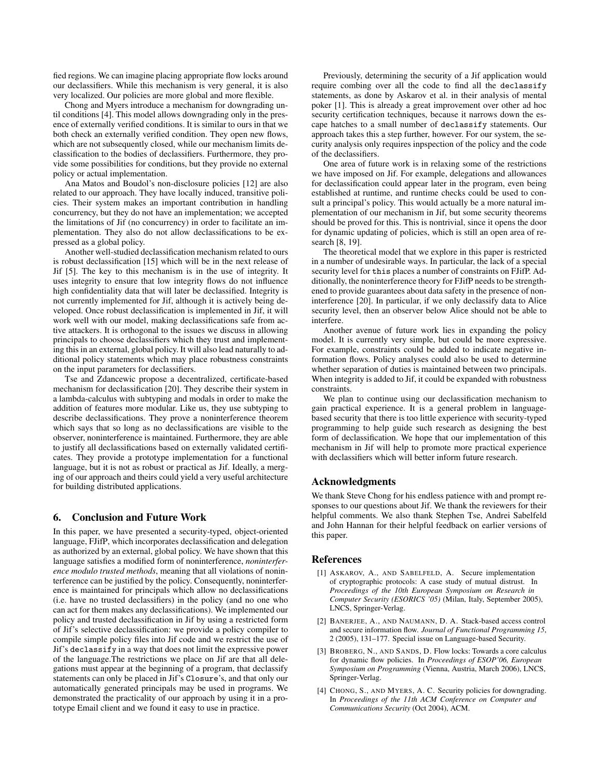fied regions. We can imagine placing appropriate flow locks around our declassifiers. While this mechanism is very general, it is also very localized. Our policies are more global and more flexible.

Chong and Myers introduce a mechanism for downgrading until conditions [4]. This model allows downgrading only in the presence of externally verified conditions. It is similar to ours in that we both check an externally verified condition. They open new flows, which are not subsequently closed, while our mechanism limits declassification to the bodies of declassifiers. Furthermore, they provide some possibilities for conditions, but they provide no external policy or actual implementation.

Ana Matos and Boudol's non-disclosure policies [12] are also related to our approach. They have locally induced, transitive policies. Their system makes an important contribution in handling concurrency, but they do not have an implementation; we accepted the limitations of Jif (no concurrency) in order to facilitate an implementation. They also do not allow declassifications to be expressed as a global policy.

Another well-studied declassification mechanism related to ours is robust declassification [15] which will be in the next release of Jif [5]. The key to this mechanism is in the use of integrity. It uses integrity to ensure that low integrity flows do not influence high confidentiality data that will later be declassified. Integrity is not currently implemented for Jif, although it is actively being developed. Once robust declassification is implemented in Jif, it will work well with our model, making declassifications safe from active attackers. It is orthogonal to the issues we discuss in allowing principals to choose declassifiers which they trust and implementing this in an external, global policy. It will also lead naturally to additional policy statements which may place robustness constraints on the input parameters for declassifiers.

Tse and Zdancewic propose a decentralized, certificate-based mechanism for declassification [20]. They describe their system in a lambda-calculus with subtyping and modals in order to make the addition of features more modular. Like us, they use subtyping to describe declassifications. They prove a noninterference theorem which says that so long as no declassifications are visible to the observer, noninterference is maintained. Furthermore, they are able to justify all declassifications based on externally validated certificates. They provide a prototype implementation for a functional language, but it is not as robust or practical as Jif. Ideally, a merging of our approach and theirs could yield a very useful architecture for building distributed applications.

# 6. Conclusion and Future Work

In this paper, we have presented a security-typed, object-oriented language, FJifP, which incorporates declassification and delegation as authorized by an external, global policy. We have shown that this language satisfies a modified form of noninterference, *noninterference modulo trusted methods*, meaning that all violations of noninterference can be justified by the policy. Consequently, noninterference is maintained for principals which allow no declassifications (i.e. have no trusted declassifiers) in the policy (and no one who can act for them makes any declassifications). We implemented our policy and trusted declassification in Jif by using a restricted form of Jif's selective declassification: we provide a policy compiler to compile simple policy files into Jif code and we restrict the use of Jif's declassify in a way that does not limit the expressive power of the language.The restrictions we place on Jif are that all delegations must appear at the beginning of a program, that declassify statements can only be placed in Jif's Closure's, and that only our automatically generated principals may be used in programs. We demonstrated the practicality of our approach by using it in a prototype Email client and we found it easy to use in practice.

Previously, determining the security of a Jif application would require combing over all the code to find all the declassify statements, as done by Askarov et al. in their analysis of mental poker [1]. This is already a great improvement over other ad hoc security certification techniques, because it narrows down the escape hatches to a small number of declassify statements. Our approach takes this a step further, however. For our system, the security analysis only requires inpspection of the policy and the code of the declassifiers.

One area of future work is in relaxing some of the restrictions we have imposed on Jif. For example, delegations and allowances for declassification could appear later in the program, even being established at runtime, and runtime checks could be used to consult a principal's policy. This would actually be a more natural implementation of our mechanism in Jif, but some security theorems should be proved for this. This is nontrivial, since it opens the door for dynamic updating of policies, which is still an open area of research [8, 19].

The theoretical model that we explore in this paper is restricted in a number of undesirable ways. In particular, the lack of a special security level for this places a number of constraints on FJifP. Additionally, the noninterference theory for FJifP needs to be strengthened to provide guarantees about data safety in the presence of noninterference [20]. In particular, if we only declassify data to Alice security level, then an observer below Alice should not be able to interfere.

Another avenue of future work lies in expanding the policy model. It is currently very simple, but could be more expressive. For example, constraints could be added to indicate negative information flows. Policy analyses could also be used to determine whether separation of duties is maintained between two principals. When integrity is added to Jif, it could be expanded with robustness constraints.

We plan to continue using our declassification mechanism to gain practical experience. It is a general problem in languagebased security that there is too little experience with security-typed programming to help guide such research as designing the best form of declassification. We hope that our implementation of this mechanism in Jif will help to promote more practical experience with declassifiers which will better inform future research.

### Acknowledgments

We thank Steve Chong for his endless patience with and prompt responses to our questions about Jif. We thank the reviewers for their helpful comments. We also thank Stephen Tse, Andrei Sabelfeld and John Hannan for their helpful feedback on earlier versions of this paper.

### References

- [1] ASKAROV, A., AND SABELFELD, A. Secure implementation of cryptographic protocols: A case study of mutual distrust. In *Proceedings of the 10th European Symposium on Research in Computer Security (ESORICS '05)* (Milan, Italy, September 2005), LNCS, Springer-Verlag.
- [2] BANERJEE, A., AND NAUMANN, D. A. Stack-based access control and secure information flow. *Journal of Functional Programming 15*, 2 (2005), 131–177. Special issue on Language-based Security.
- [3] BROBERG, N., AND SANDS, D. Flow locks: Towards a core calculus for dynamic flow policies. In *Proceedings of ESOP'06, European Symposium on Programming* (Vienna, Austria, March 2006), LNCS, Springer-Verlag.
- [4] CHONG, S., AND MYERS, A. C. Security policies for downgrading. In *Proceedings of the 11th ACM Conference on Computer and Communications Security* (Oct 2004), ACM.